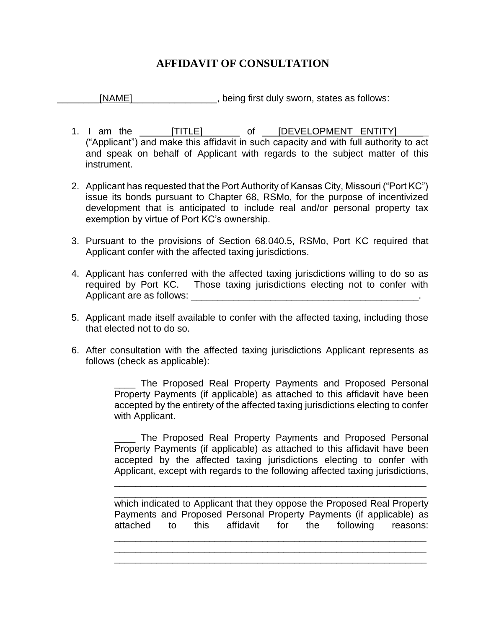## **AFFIDAVIT OF CONSULTATION**

\_\_\_\_\_\_\_\_[NAME]\_\_\_\_\_\_\_\_\_\_\_\_\_\_\_\_, being first duly sworn, states as follows:

- 1. I am the \_\_\_\_\_\_\_[TITLE] of \_\_\_\_[DEVELOPMENT ENTITY] ("Applicant") and make this affidavit in such capacity and with full authority to act and speak on behalf of Applicant with regards to the subject matter of this instrument.
- 2. Applicant has requested that the Port Authority of Kansas City, Missouri ("Port KC") issue its bonds pursuant to Chapter 68, RSMo, for the purpose of incentivized development that is anticipated to include real and/or personal property tax exemption by virtue of Port KC's ownership.
- 3. Pursuant to the provisions of Section 68.040.5, RSMo, Port KC required that Applicant confer with the affected taxing jurisdictions.
- 4. Applicant has conferred with the affected taxing jurisdictions willing to do so as required by Port KC. Those taxing jurisdictions electing not to confer with Applicant are as follows: \_\_\_\_\_\_\_\_\_\_\_\_\_\_\_\_\_\_\_\_\_\_\_\_\_\_\_\_\_\_\_\_\_\_\_\_\_\_\_\_\_\_\_.
- 5. Applicant made itself available to confer with the affected taxing, including those that elected not to do so.
- 6. After consultation with the affected taxing jurisdictions Applicant represents as follows (check as applicable):

\_\_\_\_ The Proposed Real Property Payments and Proposed Personal Property Payments (if applicable) as attached to this affidavit have been accepted by the entirety of the affected taxing jurisdictions electing to confer with Applicant.

\_\_\_\_ The Proposed Real Property Payments and Proposed Personal Property Payments (if applicable) as attached to this affidavit have been accepted by the affected taxing jurisdictions electing to confer with Applicant, except with regards to the following affected taxing jurisdictions,

\_\_\_\_\_\_\_\_\_\_\_\_\_\_\_\_\_\_\_\_\_\_\_\_\_\_\_\_\_\_\_\_\_\_\_\_\_\_\_\_\_\_\_\_\_\_\_\_\_\_\_\_\_\_\_\_\_\_\_ \_\_\_\_\_\_\_\_\_\_\_\_\_\_\_\_\_\_\_\_\_\_\_\_\_\_\_\_\_\_\_\_\_\_\_\_\_\_\_\_\_\_\_\_\_\_\_\_\_\_\_\_\_\_\_\_\_\_\_

which indicated to Applicant that they oppose the Proposed Real Property Payments and Proposed Personal Property Payments (if applicable) as attached to this affidavit for the following reasons: \_\_\_\_\_\_\_\_\_\_\_\_\_\_\_\_\_\_\_\_\_\_\_\_\_\_\_\_\_\_\_\_\_\_\_\_\_\_\_\_\_\_\_\_\_\_\_\_\_\_\_\_\_\_\_\_\_\_\_

\_\_\_\_\_\_\_\_\_\_\_\_\_\_\_\_\_\_\_\_\_\_\_\_\_\_\_\_\_\_\_\_\_\_\_\_\_\_\_\_\_\_\_\_\_\_\_\_\_\_\_\_\_\_\_\_\_\_\_ \_\_\_\_\_\_\_\_\_\_\_\_\_\_\_\_\_\_\_\_\_\_\_\_\_\_\_\_\_\_\_\_\_\_\_\_\_\_\_\_\_\_\_\_\_\_\_\_\_\_\_\_\_\_\_\_\_\_\_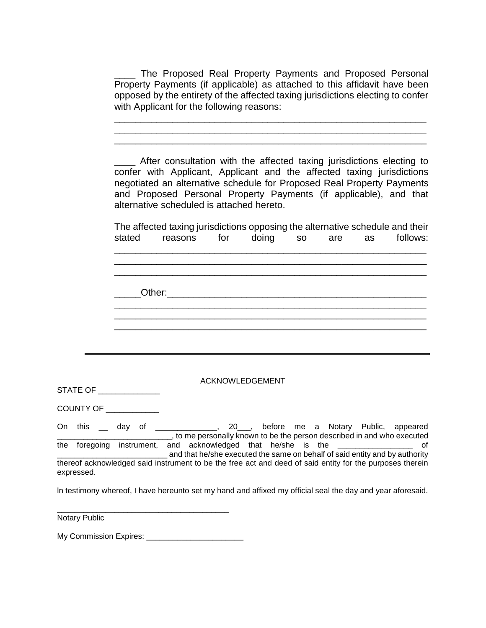\_\_\_\_ The Proposed Real Property Payments and Proposed Personal Property Payments (if applicable) as attached to this affidavit have been opposed by the entirety of the affected taxing jurisdictions electing to confer with Applicant for the following reasons:

\_\_\_\_\_\_\_\_\_\_\_\_\_\_\_\_\_\_\_\_\_\_\_\_\_\_\_\_\_\_\_\_\_\_\_\_\_\_\_\_\_\_\_\_\_\_\_\_\_\_\_\_\_\_\_\_\_\_\_ \_\_\_\_\_\_\_\_\_\_\_\_\_\_\_\_\_\_\_\_\_\_\_\_\_\_\_\_\_\_\_\_\_\_\_\_\_\_\_\_\_\_\_\_\_\_\_\_\_\_\_\_\_\_\_\_\_\_\_ \_\_\_\_\_\_\_\_\_\_\_\_\_\_\_\_\_\_\_\_\_\_\_\_\_\_\_\_\_\_\_\_\_\_\_\_\_\_\_\_\_\_\_\_\_\_\_\_\_\_\_\_\_\_\_\_\_\_\_

\_\_\_\_ After consultation with the affected taxing jurisdictions electing to confer with Applicant, Applicant and the affected taxing jurisdictions negotiated an alternative schedule for Proposed Real Property Payments and Proposed Personal Property Payments (if applicable), and that alternative scheduled is attached hereto.

The affected taxing jurisdictions opposing the alternative schedule and their stated reasons for doing so are as follows: \_\_\_\_\_\_\_\_\_\_\_\_\_\_\_\_\_\_\_\_\_\_\_\_\_\_\_\_\_\_\_\_\_\_\_\_\_\_\_\_\_\_\_\_\_\_\_\_\_\_\_\_\_\_\_\_\_\_\_ \_\_\_\_\_\_\_\_\_\_\_\_\_\_\_\_\_\_\_\_\_\_\_\_\_\_\_\_\_\_\_\_\_\_\_\_\_\_\_\_\_\_\_\_\_\_\_\_\_\_\_\_\_\_\_\_\_\_\_ \_\_\_\_\_\_\_\_\_\_\_\_\_\_\_\_\_\_\_\_\_\_\_\_\_\_\_\_\_\_\_\_\_\_\_\_\_\_\_\_\_\_\_\_\_\_\_\_\_\_\_\_\_\_\_\_\_\_\_ Other: \_\_\_\_\_\_\_\_\_\_\_\_\_\_\_\_\_\_\_\_\_\_\_\_\_\_\_\_\_\_\_\_\_\_\_\_\_\_\_\_\_\_\_\_\_\_\_\_\_\_\_\_\_\_\_\_\_\_\_ \_\_\_\_\_\_\_\_\_\_\_\_\_\_\_\_\_\_\_\_\_\_\_\_\_\_\_\_\_\_\_\_\_\_\_\_\_\_\_\_\_\_\_\_\_\_\_\_\_\_\_\_\_\_\_\_\_\_\_ \_\_\_\_\_\_\_\_\_\_\_\_\_\_\_\_\_\_\_\_\_\_\_\_\_\_\_\_\_\_\_\_\_\_\_\_\_\_\_\_\_\_\_\_\_\_\_\_\_\_\_\_\_\_\_\_\_\_\_

ACKNOWLEDGEMENT

STATE OF \_\_\_\_\_\_\_\_\_\_\_\_\_\_

COUNTY OF \_\_\_\_\_\_\_\_\_\_\_\_

On this \_\_ day of \_\_\_\_\_\_\_\_\_\_\_\_\_\_, 20\_\_\_, before me a Notary Public, appeared <u>the contract of the contract of the contract</u> in the contract of the contract of the person described in and who executed the foregoing instrument, and acknowledged that he/she is the \_\_\_\_\_\_\_\_\_\_\_\_\_\_\_\_\_ of and that he/she executed the same on behalf of said entity and by authority thereof acknowledged said instrument to be the free act and deed of said entity for the purposes therein expressed.

ln testimony whereof, I have hereunto set my hand and affixed my official seal the day and year aforesaid.

Notary Public

My Commission Expires: \_\_\_\_\_\_\_\_\_\_\_\_\_\_\_\_\_\_\_\_\_\_

\_\_\_\_\_\_\_\_\_\_\_\_\_\_\_\_\_\_\_\_\_\_\_\_\_\_\_\_\_\_\_\_\_\_\_\_\_\_\_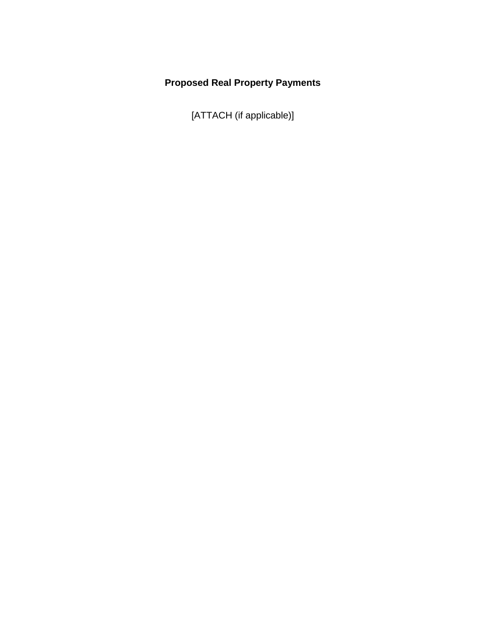## **Proposed Real Property Payments**

[ATTACH (if applicable)]